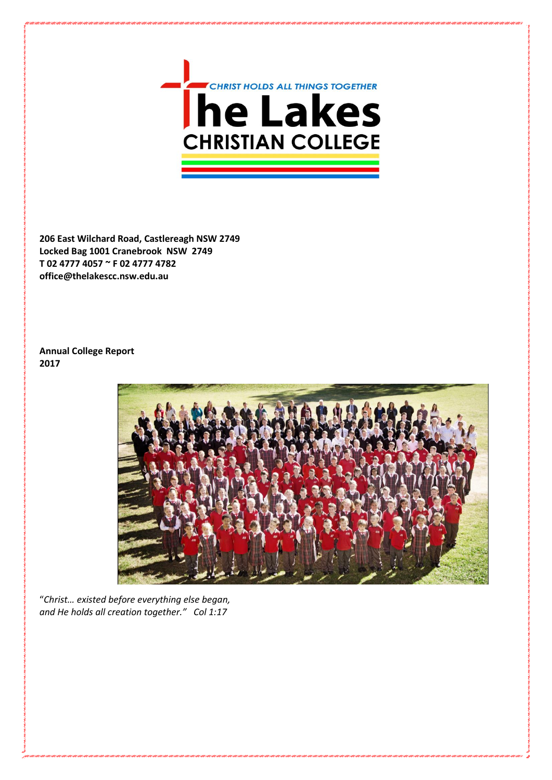

**206 East Wilchard Road, Castlereagh NSW 2749 Locked Bag 1001 Cranebrook NSW 2749 T 02 4777 4057 ~ F 02 4777 4782 office@thelakescc.nsw.edu.au**

**Annual College Report 2017**



"*Christ… existed before everything else began, and He holds all creation together." Col 1:17*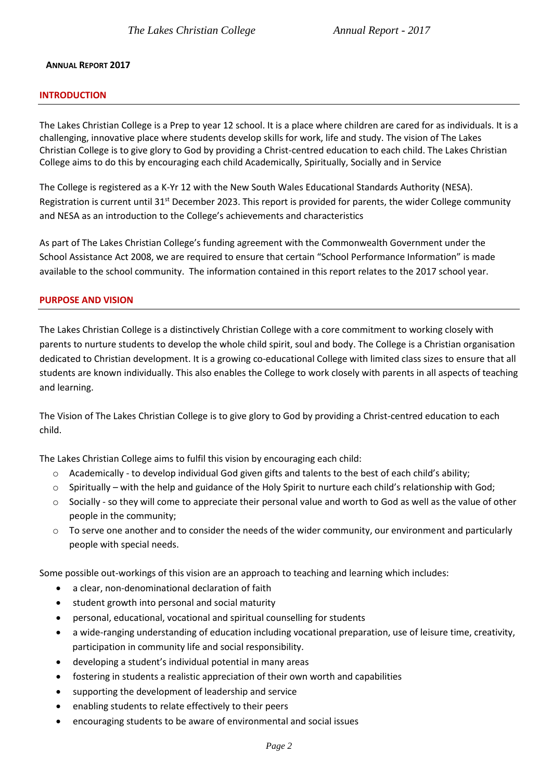### **ANNUAL REPORT 2017**

### **INTRODUCTION**

The Lakes Christian College is a Prep to year 12 school. It is a place where children are cared for as individuals. It is a challenging, innovative place where students develop skills for work, life and study. The vision of The Lakes Christian College is to give glory to God by providing a Christ-centred education to each child. The Lakes Christian College aims to do this by encouraging each child Academically, Spiritually, Socially and in Service

The College is registered as a K-Yr 12 with the New South Wales Educational Standards Authority (NESA). Registration is current until 31<sup>st</sup> December 2023. This report is provided for parents, the wider College community and NESA as an introduction to the College's achievements and characteristics

As part of The Lakes Christian College's funding agreement with the Commonwealth Government under the School Assistance Act 2008, we are required to ensure that certain "School Performance Information" is made available to the school community. The information contained in this report relates to the 2017 school year.

### **PURPOSE AND VISION**

The Lakes Christian College is a distinctively Christian College with a core commitment to working closely with parents to nurture students to develop the whole child spirit, soul and body. The College is a Christian organisation dedicated to Christian development. It is a growing co-educational College with limited class sizes to ensure that all students are known individually. This also enables the College to work closely with parents in all aspects of teaching and learning.

The Vision of The Lakes Christian College is to give glory to God by providing a Christ-centred education to each child.

The Lakes Christian College aims to fulfil this vision by encouraging each child:

- o Academically to develop individual God given gifts and talents to the best of each child's ability;
- o Spiritually with the help and guidance of the Holy Spirit to nurture each child's relationship with God;
- $\circ$  Socially so they will come to appreciate their personal value and worth to God as well as the value of other people in the community;
- $\circ$  To serve one another and to consider the needs of the wider community, our environment and particularly people with special needs.

Some possible out-workings of this vision are an approach to teaching and learning which includes:

- a clear, non-denominational declaration of faith
- student growth into personal and social maturity
- personal, educational, vocational and spiritual counselling for students
- a wide-ranging understanding of education including vocational preparation, use of leisure time, creativity, participation in community life and social responsibility.
- developing a student's individual potential in many areas
- fostering in students a realistic appreciation of their own worth and capabilities
- supporting the development of leadership and service
- enabling students to relate effectively to their peers
- encouraging students to be aware of environmental and social issues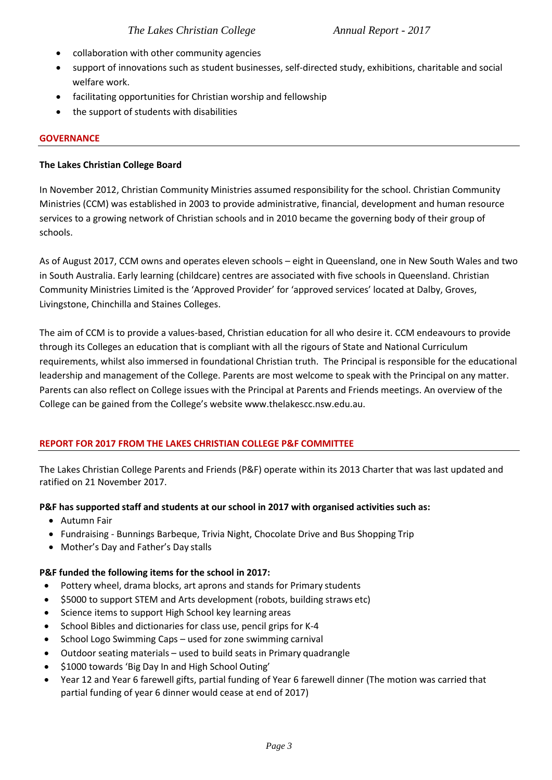- collaboration with other community agencies
- support of innovations such as student businesses, self-directed study, exhibitions, charitable and social welfare work.
- facilitating opportunities for Christian worship and fellowship
- the support of students with disabilities

# **GOVERNANCE**

## **The Lakes Christian College Board**

In November 2012, Christian Community Ministries assumed responsibility for the school. Christian Community Ministries (CCM) was established in 2003 to provide administrative, financial, development and human resource services to a growing network of Christian schools and in 2010 became the governing body of their group of schools.

As of August 2017, CCM owns and operates eleven schools – eight in Queensland, one in New South Wales and two in South Australia. Early learning (childcare) centres are associated with five schools in Queensland. Christian Community Ministries Limited is the 'Approved Provider' for 'approved services' located at Dalby, Groves, Livingstone, Chinchilla and Staines Colleges.

The aim of CCM is to provide a values-based, Christian education for all who desire it. CCM endeavours to provide through its Colleges an education that is compliant with all the rigours of State and National Curriculum requirements, whilst also immersed in foundational Christian truth. The Principal is responsible for the educational leadership and management of the College. Parents are most welcome to speak with the Principal on any matter. Parents can also reflect on College issues with the Principal at Parents and Friends meetings. An overview of the College can be gained from the College's website www.thelakescc.nsw.edu.au.

# **REPORT FOR 2017 FROM THE LAKES CHRISTIAN COLLEGE P&F COMMITTEE**

The Lakes Christian College Parents and Friends (P&F) operate within its 2013 Charter that was last updated and ratified on 21 November 2017.

## **P&F has supported staff and students at our school in 2017 with organised activities such as:**

- Autumn Fair
- Fundraising Bunnings Barbeque, Trivia Night, Chocolate Drive and Bus Shopping Trip
- Mother's Day and Father's Day stalls

## **P&F funded the following items for the school in 2017:**

- Pottery wheel, drama blocks, art aprons and stands for Primary students
- \$5000 to support STEM and Arts development (robots, building straws etc)
- Science items to support High School key learning areas
- School Bibles and dictionaries for class use, pencil grips for K-4
- School Logo Swimming Caps used for zone swimming carnival
- Outdoor seating materials used to build seats in Primary quadrangle
- \$1000 towards 'Big Day In and High School Outing'
- Year 12 and Year 6 farewell gifts, partial funding of Year 6 farewell dinner (The motion was carried that partial funding of year 6 dinner would cease at end of 2017)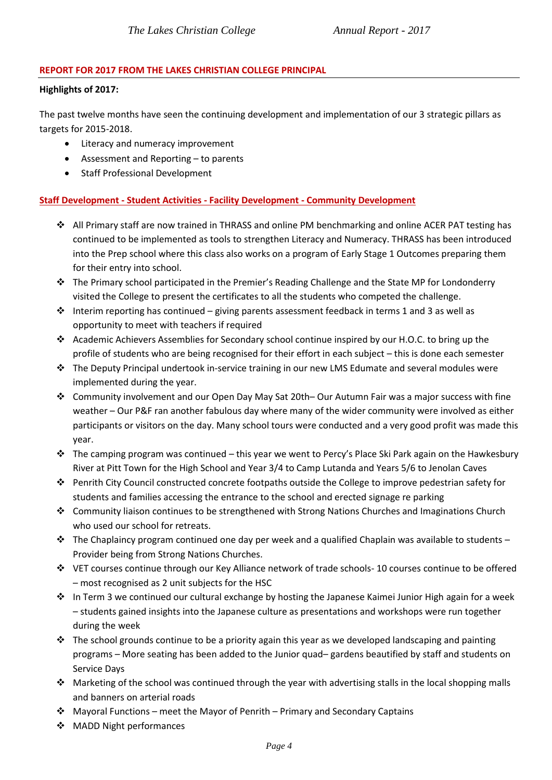# **REPORT FOR 2017 FROM THE LAKES CHRISTIAN COLLEGE PRINCIPAL**

## **Highlights of 2017:**

The past twelve months have seen the continuing development and implementation of our 3 strategic pillars as targets for 2015-2018.

- Literacy and numeracy improvement
- Assessment and Reporting to parents
- Staff Professional Development

# **Staff Development - Student Activities - Facility Development - Community Development**

- ❖ All Primary staff are now trained in THRASS and online PM benchmarking and online ACER PAT testing has continued to be implemented as tools to strengthen Literacy and Numeracy. THRASS has been introduced into the Prep school where this class also works on a program of Early Stage 1 Outcomes preparing them for their entry into school.
- ❖ The Primary school participated in the Premier's Reading Challenge and the State MP for Londonderry visited the College to present the certificates to all the students who competed the challenge.
- $\dots$  Interim reporting has continued giving parents assessment feedback in terms 1 and 3 as well as opportunity to meet with teachers if required
- ❖ Academic Achievers Assemblies for Secondary school continue inspired by our H.O.C. to bring up the profile of students who are being recognised for their effort in each subject – this is done each semester
- ❖ The Deputy Principal undertook in-service training in our new LMS Edumate and several modules were implemented during the year.
- ❖ Community involvement and our Open Day May Sat 20th– Our Autumn Fair was a major success with fine weather – Our P&F ran another fabulous day where many of the wider community were involved as either participants or visitors on the day. Many school tours were conducted and a very good profit was made this year.
- ❖ The camping program was continued this year we went to Percy's Place Ski Park again on the Hawkesbury River at Pitt Town for the High School and Year 3/4 to Camp Lutanda and Years 5/6 to Jenolan Caves
- ❖ Penrith City Council constructed concrete footpaths outside the College to improve pedestrian safety for students and families accessing the entrance to the school and erected signage re parking
- ❖ Community liaison continues to be strengthened with Strong Nations Churches and Imaginations Church who used our school for retreats.
- $\dots$  The Chaplaincy program continued one day per week and a qualified Chaplain was available to students Provider being from Strong Nations Churches.
- ❖ VET courses continue through our Key Alliance network of trade schools- 10 courses continue to be offered – most recognised as 2 unit subjects for the HSC
- ❖ In Term 3 we continued our cultural exchange by hosting the Japanese Kaimei Junior High again for a week – students gained insights into the Japanese culture as presentations and workshops were run together during the week
- $\cdot \cdot$  The school grounds continue to be a priority again this year as we developed landscaping and painting programs – More seating has been added to the Junior quad– gardens beautified by staff and students on Service Days
- ❖ Marketing of the school was continued through the year with advertising stalls in the local shopping malls and banners on arterial roads
- ❖ Mayoral Functions meet the Mayor of Penrith Primary and Secondary Captains
- ❖ MADD Night performances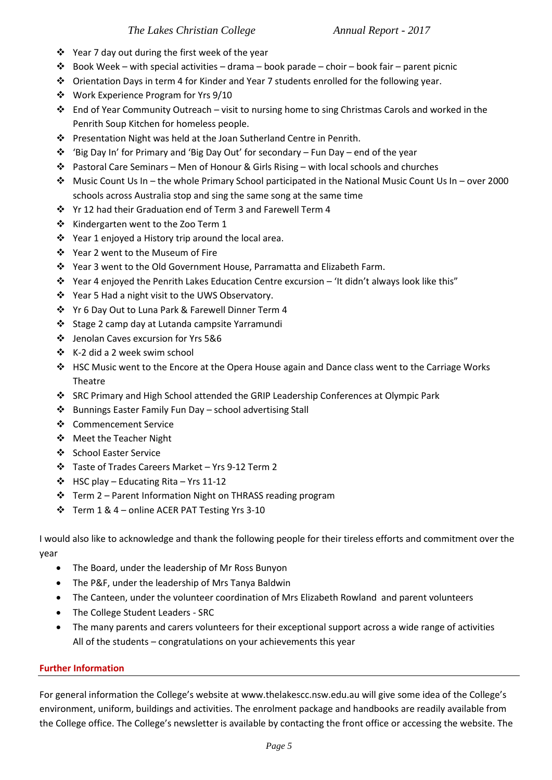- ❖ Year 7 day out during the first week of the year
- ❖ Book Week with special activities drama book parade choir book fair parent picnic
- ❖ Orientation Days in term 4 for Kinder and Year 7 students enrolled for the following year.
- ❖ Work Experience Program for Yrs 9/10
- ❖ End of Year Community Outreach visit to nursing home to sing Christmas Carols and worked in the Penrith Soup Kitchen for homeless people.
- ❖ Presentation Night was held at the Joan Sutherland Centre in Penrith.
- ❖ 'Big Day In' for Primary and 'Big Day Out' for secondary Fun Day end of the year
- ❖ Pastoral Care Seminars Men of Honour & Girls Rising with local schools and churches
- ❖ Music Count Us In the whole Primary School participated in the National Music Count Us In over 2000 schools across Australia stop and sing the same song at the same time
- ❖ Yr 12 had their Graduation end of Term 3 and Farewell Term 4
- ❖ Kindergarten went to the Zoo Term 1
- ❖ Year 1 enjoyed a History trip around the local area.
- ❖ Year 2 went to the Museum of Fire
- ❖ Year 3 went to the Old Government House, Parramatta and Elizabeth Farm.
- ❖ Year 4 enjoyed the Penrith Lakes Education Centre excursion 'It didn't always look like this"
- ❖ Year 5 Had a night visit to the UWS Observatory.
- ❖ Yr 6 Day Out to Luna Park & Farewell Dinner Term 4
- ❖ Stage 2 camp day at Lutanda campsite Yarramundi
- ❖ Jenolan Caves excursion for Yrs 5&6
- ❖ K-2 did a 2 week swim school
- ❖ HSC Music went to the Encore at the Opera House again and Dance class went to the Carriage Works Theatre
- ❖ SRC Primary and High School attended the GRIP Leadership Conferences at Olympic Park
- ❖ Bunnings Easter Family Fun Day school advertising Stall
- ❖ Commencement Service
- ❖ Meet the Teacher Night
- ❖ School Easter Service
- ❖ Taste of Trades Careers Market Yrs 9-12 Term 2
- ❖ HSC play Educating Rita Yrs 11-12
- ❖ Term 2 Parent Information Night on THRASS reading program
- ❖ Term 1 & 4 online ACER PAT Testing Yrs 3-10

I would also like to acknowledge and thank the following people for their tireless efforts and commitment over the year

- The Board, under the leadership of Mr Ross Bunyon
- The P&F, under the leadership of Mrs Tanya Baldwin
- The Canteen, under the volunteer coordination of Mrs Elizabeth Rowland and parent volunteers
- The College Student Leaders SRC
- The many parents and carers volunteers for their exceptional support across a wide range of activities All of the students – congratulations on your achievements this year

# **Further Information**

For general information the College's website at www.thelakescc.nsw.edu.au will give some idea of the College's environment, uniform, buildings and activities. The enrolment package and handbooks are readily available from the College office. The College's newsletter is available by contacting the front office or accessing the website. The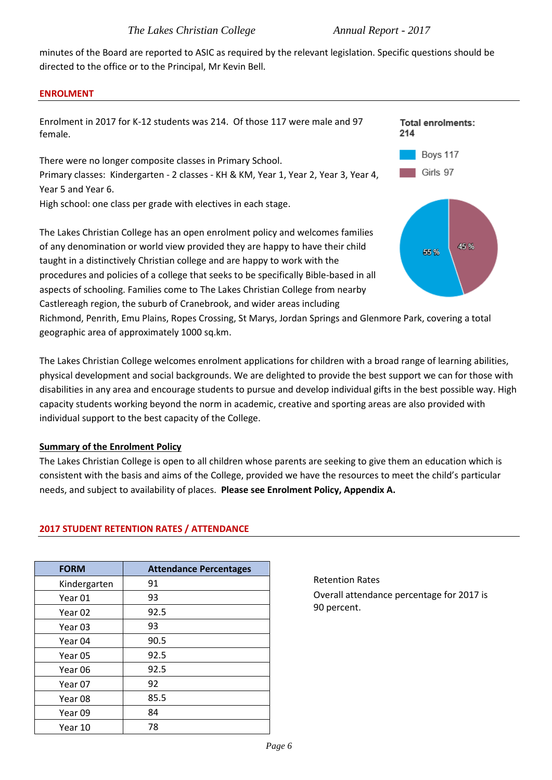minutes of the Board are reported to ASIC as required by the relevant legislation. Specific questions should be directed to the office or to the Principal, Mr Kevin Bell.

### **ENROLMENT**



The Lakes Christian College welcomes enrolment applications for children with a broad range of learning abilities, physical development and social backgrounds. We are delighted to provide the best support we can for those with disabilities in any area and encourage students to pursue and develop individual gifts in the best possible way. High capacity students working beyond the norm in academic, creative and sporting areas are also provided with individual support to the best capacity of the College.

## **Summary of the Enrolment Policy**

The Lakes Christian College is open to all children whose parents are seeking to give them an education which is consistent with the basis and aims of the College, provided we have the resources to meet the child's particular needs, and subject to availability of places. **Please see Enrolment Policy, Appendix A.**

| <b>FORM</b>  | <b>Attendance Percentages</b> |
|--------------|-------------------------------|
| Kindergarten | 91                            |
| Year 01      | 93                            |
| Year 02      | 92.5                          |
| Year 03      | 93                            |
| Year 04      | 90.5                          |
| Year 05      | 92.5                          |
| Year 06      | 92.5                          |
| Year 07      | 92                            |
| Year 08      | 85.5                          |
| Year 09      | 84                            |
| Year 10      | 78                            |

# **2017 STUDENT RETENTION RATES / ATTENDANCE**

Retention Rates Overall attendance percentage for 2017 is 90 percent.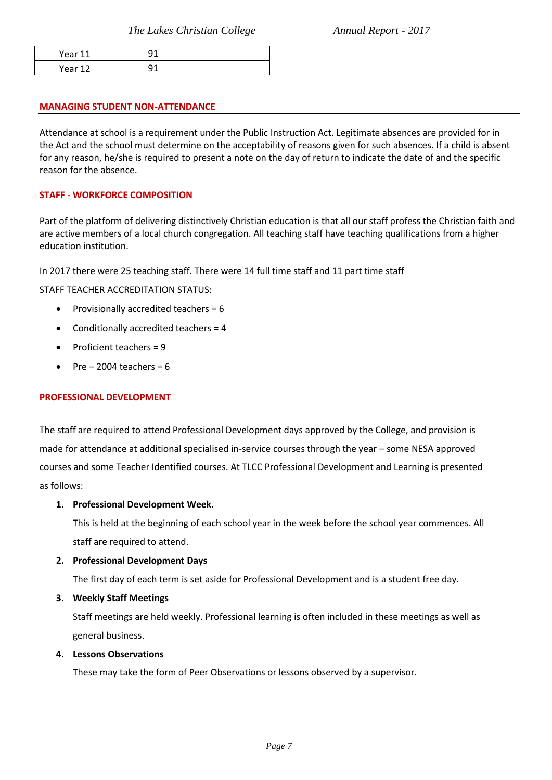| Year 11              |  |
|----------------------|--|
| Year 12<br>Ju.<br>__ |  |

#### **MANAGING STUDENT NON-ATTENDANCE**

Attendance at school is a requirement under the Public Instruction Act. Legitimate absences are provided for in the Act and the school must determine on the acceptability of reasons given for such absences. If a child is absent for any reason, he/she is required to present a note on the day of return to indicate the date of and the specific reason for the absence.

### **STAFF - WORKFORCE COMPOSITION**

Part of the platform of delivering distinctively Christian education is that all our staff profess the Christian faith and are active members of a local church congregation. All teaching staff have teaching qualifications from a higher education institution.

In 2017 there were 25 teaching staff. There were 14 full time staff and 11 part time staff

STAFF TEACHER ACCREDITATION STATUS:

- Provisionally accredited teachers = 6
- Conditionally accredited teachers = 4
- Proficient teachers = 9
- $Pre 2004$  teachers = 6

#### **PROFESSIONAL DEVELOPMENT**

The staff are required to attend Professional Development days approved by the College, and provision is made for attendance at additional specialised in-service courses through the year – some NESA approved courses and some Teacher Identified courses. At TLCC Professional Development and Learning is presented as follows:

#### **1. Professional Development Week.**

This is held at the beginning of each school year in the week before the school year commences. All staff are required to attend.

#### **2. Professional Development Days**

The first day of each term is set aside for Professional Development and is a student free day.

**3. Weekly Staff Meetings**

Staff meetings are held weekly. Professional learning is often included in these meetings as well as general business.

**4. Lessons Observations**

These may take the form of Peer Observations or lessons observed by a supervisor.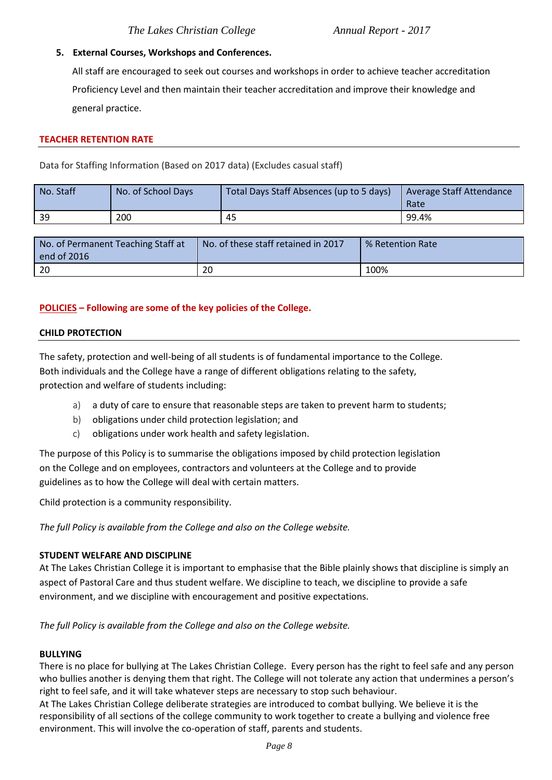## **5. External Courses, Workshops and Conferences.**

All staff are encouraged to seek out courses and workshops in order to achieve teacher accreditation Proficiency Level and then maintain their teacher accreditation and improve their knowledge and general practice.

#### **TEACHER RETENTION RATE**

Data for Staffing Information (Based on 2017 data) (Excludes casual staff)

| No. Staff | No. of School Days | Total Days Staff Absences (up to 5 days) | Average Staff Attendance<br>Rate |
|-----------|--------------------|------------------------------------------|----------------------------------|
| -39       | 200                | 45                                       | 99.4%                            |

| No. of Permanent Teaching Staff at<br>end of 2016 | No. of these staff retained in 2017 | % Retention Rate |
|---------------------------------------------------|-------------------------------------|------------------|
| 20                                                | 20                                  | 100%             |

## **POLICIES – Following are some of the key policies of the College.**

### **CHILD PROTECTION**

The safety, protection and well-being of all students is of fundamental importance to the College. Both individuals and the College have a range of different obligations relating to the safety, protection and welfare of students including:

- a) a duty of care to ensure that reasonable steps are taken to prevent harm to students;
- b) obligations under child protection legislation; and
- c) obligations under work health and safety legislation.

The purpose of this Policy is to summarise the obligations imposed by child protection legislation on the College and on employees, contractors and volunteers at the College and to provide guidelines as to how the College will deal with certain matters.

Child protection is a community responsibility.

*The full Policy is available from the College and also on the College website.* 

## **STUDENT WELFARE AND DISCIPLINE**

At The Lakes Christian College it is important to emphasise that the Bible plainly shows that discipline is simply an aspect of Pastoral Care and thus student welfare. We discipline to teach, we discipline to provide a safe environment, and we discipline with encouragement and positive expectations.

*The full Policy is available from the College and also on the College website.* 

#### **BULLYING**

There is no place for bullying at The Lakes Christian College. Every person has the right to feel safe and any person who bullies another is denying them that right. The College will not tolerate any action that undermines a person's right to feel safe, and it will take whatever steps are necessary to stop such behaviour.

At The Lakes Christian College deliberate strategies are introduced to combat bullying. We believe it is the responsibility of all sections of the college community to work together to create a bullying and violence free environment. This will involve the co-operation of staff, parents and students.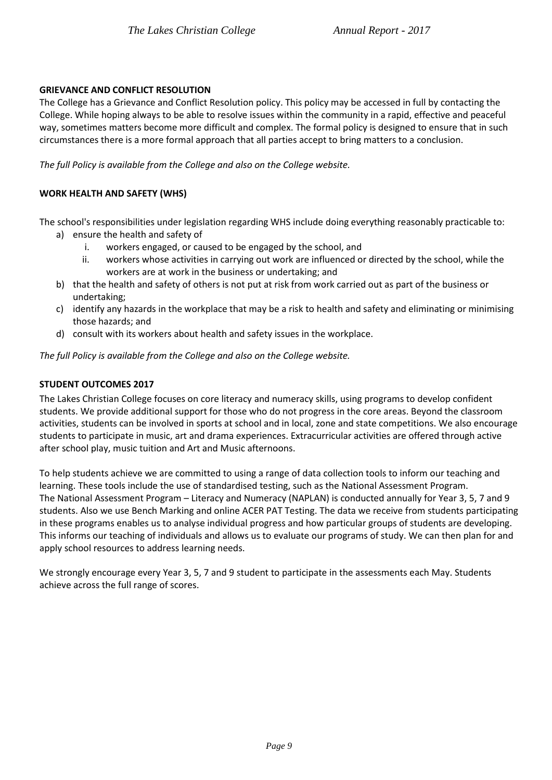## **GRIEVANCE AND CONFLICT RESOLUTION**

The College has a Grievance and Conflict Resolution policy. This policy may be accessed in full by contacting the College. While hoping always to be able to resolve issues within the community in a rapid, effective and peaceful way, sometimes matters become more difficult and complex. The formal policy is designed to ensure that in such circumstances there is a more formal approach that all parties accept to bring matters to a conclusion.

*The full Policy is available from the College and also on the College website.*

# **WORK HEALTH AND SAFETY (WHS)**

The school's responsibilities under legislation regarding WHS include doing everything reasonably practicable to:

- a) ensure the health and safety of
	- i. workers engaged, or caused to be engaged by the school, and
	- ii. workers whose activities in carrying out work are influenced or directed by the school, while the workers are at work in the business or undertaking; and
- b) that the health and safety of others is not put at risk from work carried out as part of the business or undertaking;
- c) identify any hazards in the workplace that may be a risk to health and safety and eliminating or minimising those hazards; and
- d) consult with its workers about health and safety issues in the workplace.

*The full Policy is available from the College and also on the College website.* 

## **STUDENT OUTCOMES 2017**

The Lakes Christian College focuses on core literacy and numeracy skills, using programs to develop confident students. We provide additional support for those who do not progress in the core areas. Beyond the classroom activities, students can be involved in sports at school and in local, zone and state competitions. We also encourage students to participate in music, art and drama experiences. Extracurricular activities are offered through active after school play, music tuition and Art and Music afternoons.

To help students achieve we are committed to using a range of data collection tools to inform our teaching and learning. These tools include the use of standardised testing, such as the National Assessment Program. The National Assessment Program – Literacy and Numeracy (NAPLAN) is conducted annually for Year 3, 5, 7 and 9 students. Also we use Bench Marking and online ACER PAT Testing. The data we receive from students participating in these programs enables us to analyse individual progress and how particular groups of students are developing. This informs our teaching of individuals and allows us to evaluate our programs of study. We can then plan for and apply school resources to address learning needs.

We strongly encourage every Year 3, 5, 7 and 9 student to participate in the assessments each May. Students achieve across the full range of scores.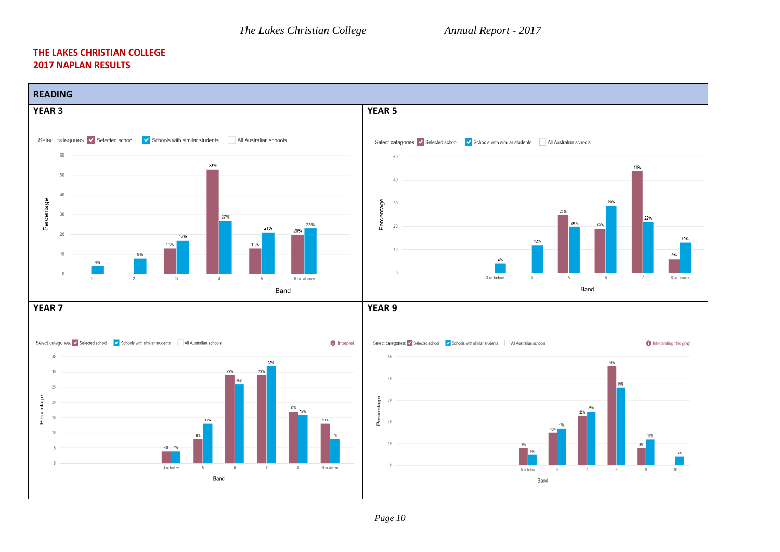#### **THE LAKES CHRISTIAN COLLEGE 2017 NAPLAN RESULTS**

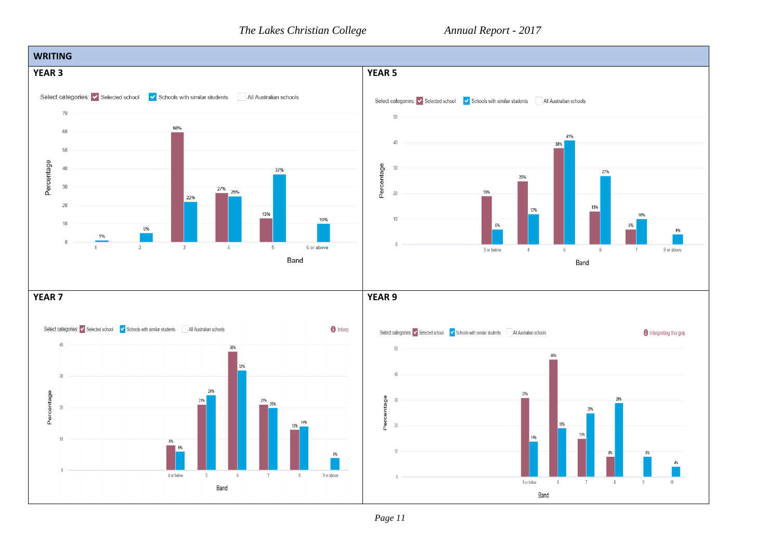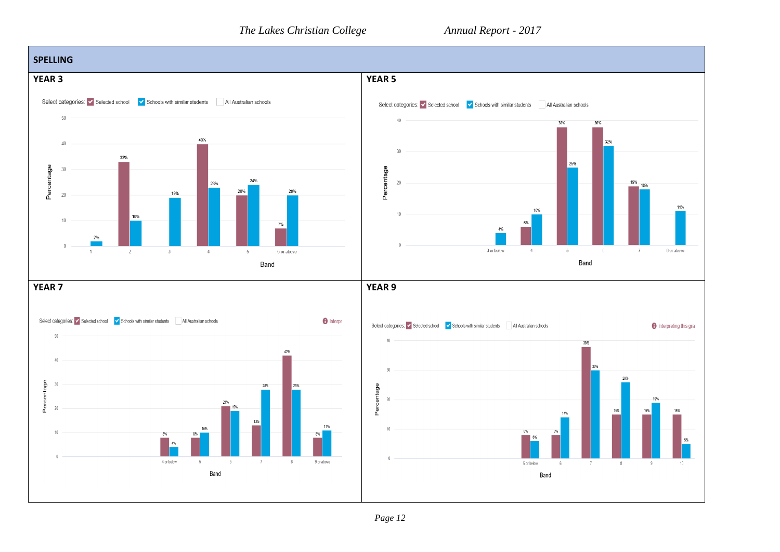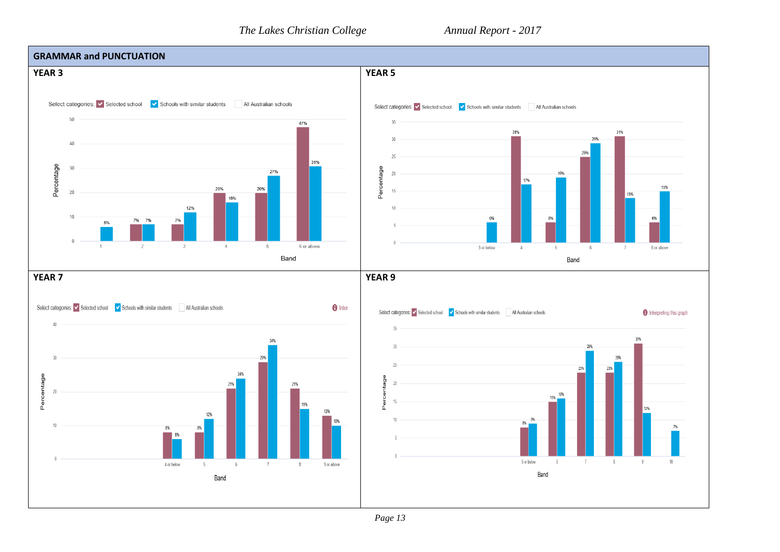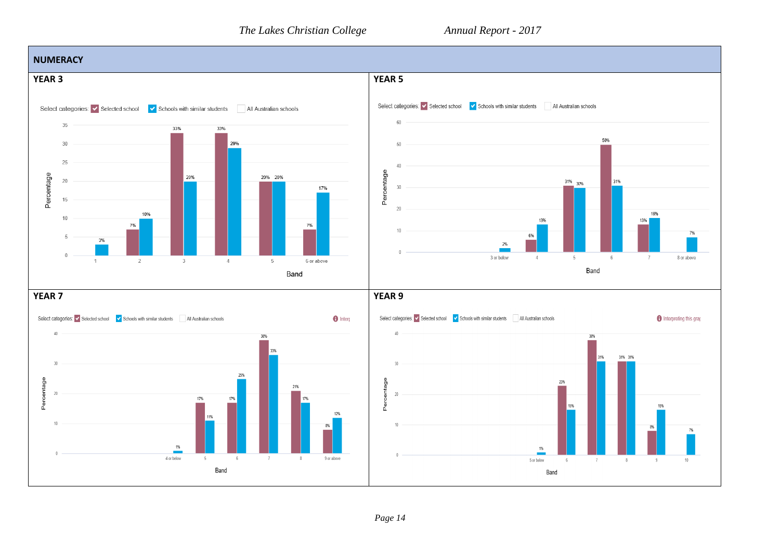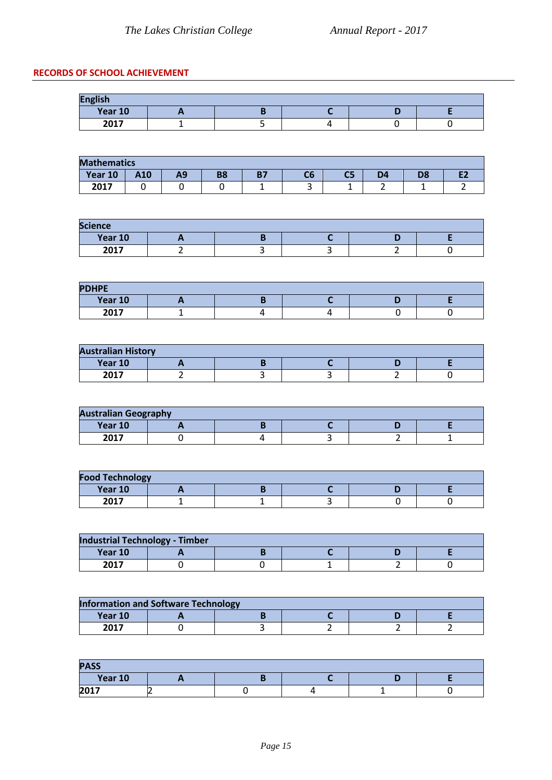# **RECORDS OF SCHOOL ACHIEVEMENT**

| <b>English</b> |  |  |  |  |  |  |
|----------------|--|--|--|--|--|--|
| Year 10        |  |  |  |  |  |  |
| 2017           |  |  |  |  |  |  |

| <b>Mathematics</b> |            |    |           |                 |        |    |    |    |  |
|--------------------|------------|----|-----------|-----------------|--------|----|----|----|--|
| Year 10            | <b>A10</b> | -- | <b>B8</b> | <b>D7</b><br>יי | C6     | C5 | D4 | D8 |  |
| 2017               |            |    |           |                 | ∽<br>٠ | -- | -  | -  |  |

| <b>Science</b>         |  |  |  |  |  |  |
|------------------------|--|--|--|--|--|--|
| Year 10                |  |  |  |  |  |  |
| $2017$<br>ZUI <i>i</i> |  |  |  |  |  |  |

| <b>PDHPE</b> |  |  |  |
|--------------|--|--|--|
| Year 10      |  |  |  |
| 2017         |  |  |  |

| <b>Australian History</b> |  |  |  |  |  |  |
|---------------------------|--|--|--|--|--|--|
| Year 10                   |  |  |  |  |  |  |
| 2017                      |  |  |  |  |  |  |

| <b>Australian Geography</b> |  |  |  |  |  |  |
|-----------------------------|--|--|--|--|--|--|
| Year 10                     |  |  |  |  |  |  |
| 2017                        |  |  |  |  |  |  |

| <b>Food Technology</b> |  |  |  |  |  |  |
|------------------------|--|--|--|--|--|--|
| Year 10                |  |  |  |  |  |  |
| 2017                   |  |  |  |  |  |  |

| <b>Industrial Technology - Timber</b> |  |  |  |  |  |  |
|---------------------------------------|--|--|--|--|--|--|
| Year 10                               |  |  |  |  |  |  |
| 2017                                  |  |  |  |  |  |  |

| <b>Information and Software Technology</b> |  |  |  |  |  |  |  |  |  |
|--------------------------------------------|--|--|--|--|--|--|--|--|--|
| Year 10                                    |  |  |  |  |  |  |  |  |  |
| 2017                                       |  |  |  |  |  |  |  |  |  |

| <b>PASS</b> |     |  |  |  |  |  |  |  |  |
|-------------|-----|--|--|--|--|--|--|--|--|
| Year 10     | . . |  |  |  |  |  |  |  |  |
| 2017        |     |  |  |  |  |  |  |  |  |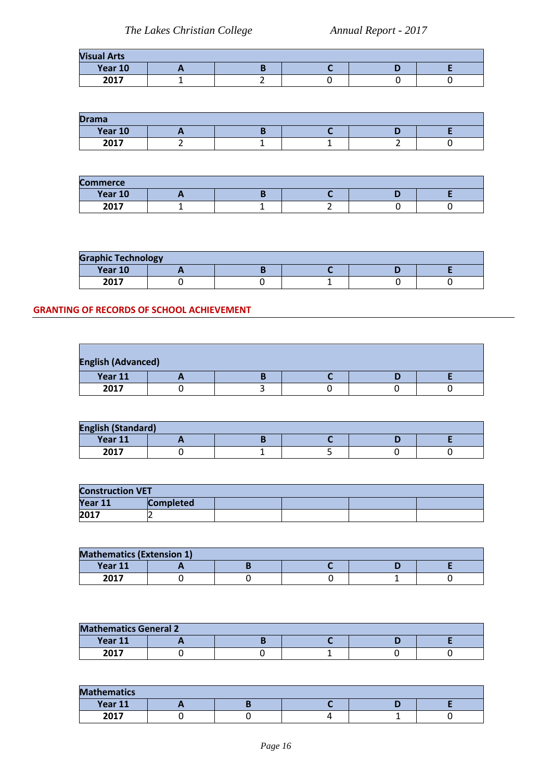| <b>Visual Arts</b> |  |  |  |  |  |  |  |  |
|--------------------|--|--|--|--|--|--|--|--|
| Year 10            |  |  |  |  |  |  |  |  |
| 2017               |  |  |  |  |  |  |  |  |

| <b>Drama</b>   |  |  |  |  |  |  |  |  |
|----------------|--|--|--|--|--|--|--|--|
| Year 10        |  |  |  |  |  |  |  |  |
| $2017$<br>ZUI7 |  |  |  |  |  |  |  |  |

| <b>Commerce</b> |  |  |  |  |  |  |  |  |
|-----------------|--|--|--|--|--|--|--|--|
| Year 10         |  |  |  |  |  |  |  |  |
| 2017            |  |  |  |  |  |  |  |  |

| <b>Graphic Technology</b> |  |  |  |  |  |  |  |  |  |
|---------------------------|--|--|--|--|--|--|--|--|--|
| Year 10                   |  |  |  |  |  |  |  |  |  |
| 2017                      |  |  |  |  |  |  |  |  |  |

## **GRANTING OF RECORDS OF SCHOOL ACHIEVEMENT**

| <b>English (Advanced)</b> |  |  |  |  |  |  |  |  |
|---------------------------|--|--|--|--|--|--|--|--|
| Year 11                   |  |  |  |  |  |  |  |  |
| 2017                      |  |  |  |  |  |  |  |  |

| <b>English (Standard)</b> |  |  |  |  |  |  |  |  |  |
|---------------------------|--|--|--|--|--|--|--|--|--|
| Year 11                   |  |  |  |  |  |  |  |  |  |
| 2017<br>ZUI7              |  |  |  |  |  |  |  |  |  |

| <b>Construction VET</b> |                  |  |  |  |  |  |  |  |
|-------------------------|------------------|--|--|--|--|--|--|--|
| Year 11                 | <b>Completed</b> |  |  |  |  |  |  |  |
| 2017                    |                  |  |  |  |  |  |  |  |

| <b>Mathematics (Extension 1)</b> |  |  |  |  |  |  |  |  |  |
|----------------------------------|--|--|--|--|--|--|--|--|--|
| Year 11                          |  |  |  |  |  |  |  |  |  |
| 2017<br>ZUIZ                     |  |  |  |  |  |  |  |  |  |

| <b>Mathematics General 2</b> |  |  |  |  |  |  |  |  |  |
|------------------------------|--|--|--|--|--|--|--|--|--|
| Year 11                      |  |  |  |  |  |  |  |  |  |
| 2017                         |  |  |  |  |  |  |  |  |  |

| <b>Mathematics</b> |  |  |  |  |  |  |  |  |
|--------------------|--|--|--|--|--|--|--|--|
| Year 11            |  |  |  |  |  |  |  |  |
| 2017               |  |  |  |  |  |  |  |  |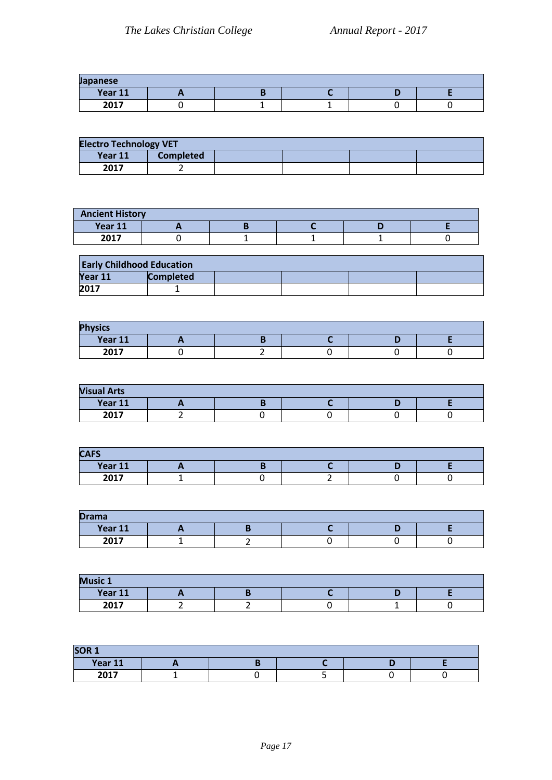| Japanese |  |  |  |  |  |  |  |  |
|----------|--|--|--|--|--|--|--|--|
| Year 11  |  |  |  |  |  |  |  |  |
| 2017     |  |  |  |  |  |  |  |  |

| <b>Electro Technology VET</b> |                  |  |  |  |  |  |  |
|-------------------------------|------------------|--|--|--|--|--|--|
| Year 11                       | <b>Completed</b> |  |  |  |  |  |  |
| 2017                          |                  |  |  |  |  |  |  |

| <b>Ancient History</b> |  |  |  |  |  |  |  |  |  |
|------------------------|--|--|--|--|--|--|--|--|--|
| Year 11                |  |  |  |  |  |  |  |  |  |
| $2017$<br>ZUI)         |  |  |  |  |  |  |  |  |  |

| <b>Early Childhood Education</b> |                  |  |  |  |  |  |  |  |
|----------------------------------|------------------|--|--|--|--|--|--|--|
| Year 11                          | <b>Completed</b> |  |  |  |  |  |  |  |
| 2017                             |                  |  |  |  |  |  |  |  |

| <b>Physics</b> |  |  |  |  |  |  |  |  |
|----------------|--|--|--|--|--|--|--|--|
| Year 11        |  |  |  |  |  |  |  |  |
| 2017           |  |  |  |  |  |  |  |  |

| <b>Visual Arts</b> |   |  |  |  |  |  |  |  |
|--------------------|---|--|--|--|--|--|--|--|
| Year 11            | - |  |  |  |  |  |  |  |
| 2017               |   |  |  |  |  |  |  |  |

| <b>CAFS</b>    |  |  |  |  |  |  |  |  |
|----------------|--|--|--|--|--|--|--|--|
| Year 11        |  |  |  |  |  |  |  |  |
| $2017$<br>ZUI7 |  |  |  |  |  |  |  |  |

| <b>Drama</b> |  |   |  |  |  |  |  |  |
|--------------|--|---|--|--|--|--|--|--|
| Year 11      |  |   |  |  |  |  |  |  |
| 2017         |  | - |  |  |  |  |  |  |

| <b>Music 1</b> |  |  |  |  |  |  |  |  |
|----------------|--|--|--|--|--|--|--|--|
| Year 11        |  |  |  |  |  |  |  |  |
| 2017           |  |  |  |  |  |  |  |  |

| SOR <sub>1</sub> |  |  |  |  |  |  |  |  |
|------------------|--|--|--|--|--|--|--|--|
| Year 11          |  |  |  |  |  |  |  |  |
| 2017             |  |  |  |  |  |  |  |  |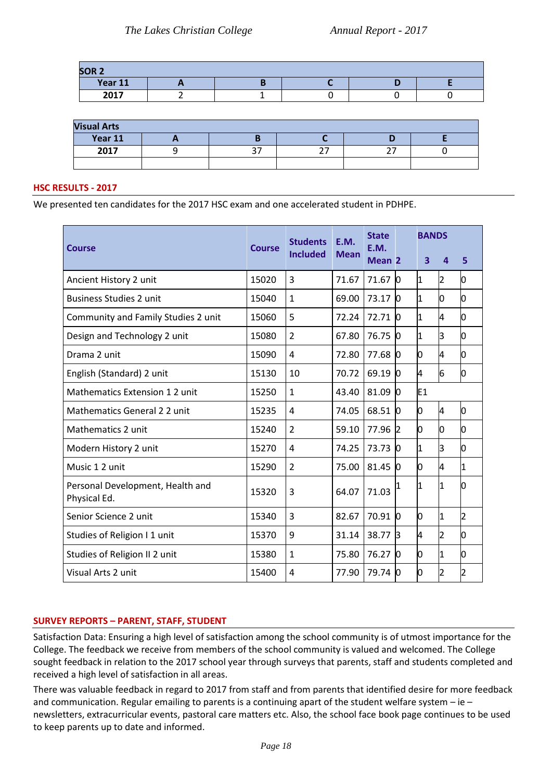| SOR <sub>2</sub> |  |  |  |
|------------------|--|--|--|
| Year 11          |  |  |  |
| 2017             |  |  |  |

| <b>Visual Arts</b> |  |  |  |  |  |  |  |  |
|--------------------|--|--|--|--|--|--|--|--|
| Year 11            |  |  |  |  |  |  |  |  |
| 2017               |  |  |  |  |  |  |  |  |
|                    |  |  |  |  |  |  |  |  |

### **HSC RESULTS - 2017**

We presented ten candidates for the 2017 HSC exam and one accelerated student in PDHPE.

|                                                  | <b>Course</b> | <b>Students</b><br><b>Included</b> | E.M.<br><b>Mean</b> | <b>State</b><br>E.M. | <b>BANDS</b>   |                         |                |    |
|--------------------------------------------------|---------------|------------------------------------|---------------------|----------------------|----------------|-------------------------|----------------|----|
| <b>Course</b>                                    |               |                                    |                     | Mean <sub>2</sub>    |                | $\overline{\mathbf{3}}$ | 4              | 5  |
| Ancient History 2 unit                           | 15020         | 3                                  | 71.67               | 71.67                | 10             | I1                      | 2              | Ю  |
| <b>Business Studies 2 unit</b>                   | 15040         | $\mathbf{1}$                       | 69.00               | 73.17                | l0             | 1                       | Ю              | 0  |
| Community and Family Studies 2 unit              | 15060         | 5                                  | 72.24               | 72.71                | l0             | 1                       | 4              | 0  |
| Design and Technology 2 unit                     | 15080         | $\overline{2}$                     | 67.80               | 76.75                | l0             | 1                       | З              | 0  |
| Drama 2 unit                                     | 15090         | 4                                  | 72.80               | 77.68                | l0             | 0                       | 4              | O  |
| English (Standard) 2 unit                        | 15130         | 10                                 | 70.72               | 69.19                | Ю              | 4                       | 6              | Ю  |
| Mathematics Extension 1 2 unit                   | 15250         | $\mathbf{1}$                       | 43.40               | 81.09                | 10             | E <sub>1</sub>          |                |    |
| Mathematics General 2 2 unit                     | 15235         | 4                                  | 74.05               | 68.51 0              |                | Ю                       | 4              | O  |
| Mathematics 2 unit                               | 15240         | $\overline{2}$                     | 59.10               | 77.96                | $\overline{2}$ | O                       | 0              | Ю  |
| Modern History 2 unit                            | 15270         | 4                                  | 74.25               | 73.73                | 10             | 1                       | З              | Ю  |
| Music 1 2 unit                                   | 15290         | 2                                  | 75.00               | 81.45                | $\Omega$       | 0                       | 4              | 1  |
| Personal Development, Health and<br>Physical Ed. | 15320         | 3                                  | 64.07               | 71.03                | 1              | 1                       | 1              | n  |
| Senior Science 2 unit                            | 15340         | $\overline{3}$                     | 82.67               | 70.91                | $\overline{0}$ | Ю                       | $\mathbf{1}$   | 2  |
| Studies of Religion I 1 unit                     | 15370         | 9                                  | 31.14               | 38.77                | $\mathsf B$    | 4                       | 2              | Ю  |
| Studies of Religion II 2 unit                    | 15380         | $\mathbf{1}$                       | 75.80               | 76.27                | l0             | 0                       | 1              | lo |
| Visual Arts 2 unit                               | 15400         | 4                                  | 77.90               | 79.74                | $\Omega$       | 0                       | $\overline{2}$ | 2  |

## **SURVEY REPORTS – PARENT, STAFF, STUDENT**

Satisfaction Data: Ensuring a high level of satisfaction among the school community is of utmost importance for the College. The feedback we receive from members of the school community is valued and welcomed. The College sought feedback in relation to the 2017 school year through surveys that parents, staff and students completed and received a high level of satisfaction in all areas.

There was valuable feedback in regard to 2017 from staff and from parents that identified desire for more feedback and communication. Regular emailing to parents is a continuing apart of the student welfare system – ie – newsletters, extracurricular events, pastoral care matters etc. Also, the school face book page continues to be used to keep parents up to date and informed.